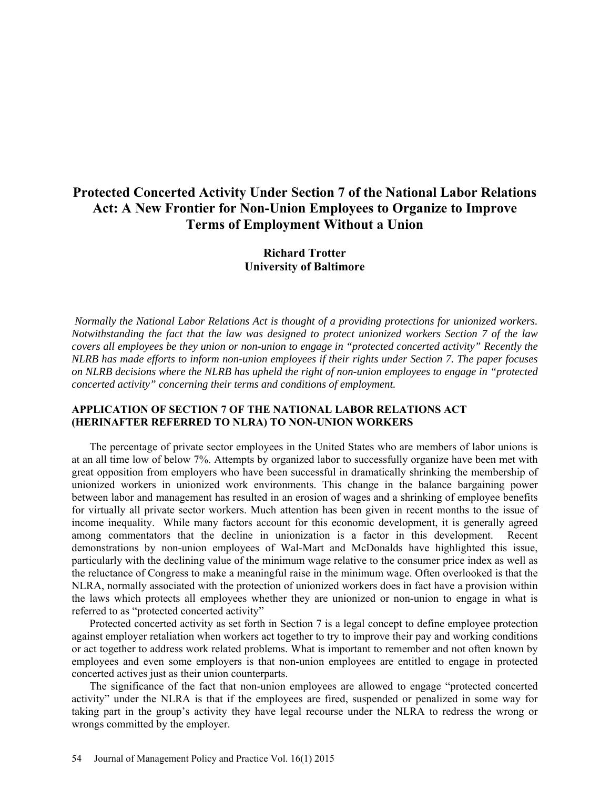# **Protected Concerted Activity Under Section 7 of the National Labor Relations Act: A New Frontier for Non-Union Employees to Organize to Improve Terms of Employment Without a Union**

# **Richard Trotter University of Baltimore**

*Normally the National Labor Relations Act is thought of a providing protections for unionized workers. Notwithstanding the fact that the law was designed to protect unionized workers Section 7 of the law covers all employees be they union or non-union to engage in "protected concerted activity" Recently the NLRB has made efforts to inform non-union employees if their rights under Section 7. The paper focuses on NLRB decisions where the NLRB has upheld the right of non-union employees to engage in "protected concerted activity" concerning their terms and conditions of employment.* 

#### **APPLICATION OF SECTION 7 OF THE NATIONAL LABOR RELATIONS ACT (HERINAFTER REFERRED TO NLRA) TO NON-UNION WORKERS**

The percentage of private sector employees in the United States who are members of labor unions is at an all time low of below 7%. Attempts by organized labor to successfully organize have been met with great opposition from employers who have been successful in dramatically shrinking the membership of unionized workers in unionized work environments. This change in the balance bargaining power between labor and management has resulted in an erosion of wages and a shrinking of employee benefits for virtually all private sector workers. Much attention has been given in recent months to the issue of income inequality. While many factors account for this economic development, it is generally agreed among commentators that the decline in unionization is a factor in this development. Recent demonstrations by non-union employees of Wal-Mart and McDonalds have highlighted this issue, particularly with the declining value of the minimum wage relative to the consumer price index as well as the reluctance of Congress to make a meaningful raise in the minimum wage. Often overlooked is that the NLRA, normally associated with the protection of unionized workers does in fact have a provision within the laws which protects all employees whether they are unionized or non-union to engage in what is referred to as "protected concerted activity"

Protected concerted activity as set forth in Section 7 is a legal concept to define employee protection against employer retaliation when workers act together to try to improve their pay and working conditions or act together to address work related problems. What is important to remember and not often known by employees and even some employers is that non-union employees are entitled to engage in protected concerted actives just as their union counterparts.

The significance of the fact that non-union employees are allowed to engage "protected concerted activity" under the NLRA is that if the employees are fired, suspended or penalized in some way for taking part in the group's activity they have legal recourse under the NLRA to redress the wrong or wrongs committed by the employer.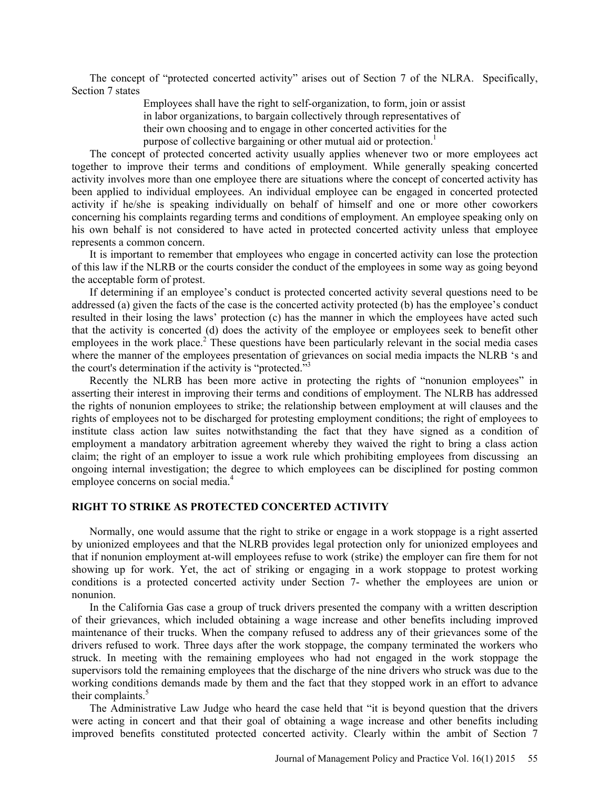The concept of "protected concerted activity" arises out of Section 7 of the NLRA. Specifically, Section 7 states

> Employees shall have the right to self-organization, to form, join or assist in labor organizations, to bargain collectively through representatives of their own choosing and to engage in other concerted activities for the purpose of collective bargaining or other mutual aid or protection.<sup>1</sup>

The concept of protected concerted activity usually applies whenever two or more employees act together to improve their terms and conditions of employment. While generally speaking concerted activity involves more than one employee there are situations where the concept of concerted activity has been applied to individual employees. An individual employee can be engaged in concerted protected activity if he/she is speaking individually on behalf of himself and one or more other coworkers concerning his complaints regarding terms and conditions of employment. An employee speaking only on his own behalf is not considered to have acted in protected concerted activity unless that employee represents a common concern.

It is important to remember that employees who engage in concerted activity can lose the protection of this law if the NLRB or the courts consider the conduct of the employees in some way as going beyond the acceptable form of protest.

If determining if an employee's conduct is protected concerted activity several questions need to be addressed (a) given the facts of the case is the concerted activity protected (b) has the employee's conduct resulted in their losing the laws' protection (c) has the manner in which the employees have acted such that the activity is concerted (d) does the activity of the employee or employees seek to benefit other employees in the work place.<sup>2</sup> These questions have been particularly relevant in the social media cases where the manner of the employees presentation of grievances on social media impacts the NLRB 's and the court's determination if the activity is "protected."3

Recently the NLRB has been more active in protecting the rights of "nonunion employees" in asserting their interest in improving their terms and conditions of employment. The NLRB has addressed the rights of nonunion employees to strike; the relationship between employment at will clauses and the rights of employees not to be discharged for protesting employment conditions; the right of employees to institute class action law suites notwithstanding the fact that they have signed as a condition of employment a mandatory arbitration agreement whereby they waived the right to bring a class action claim; the right of an employer to issue a work rule which prohibiting employees from discussing an ongoing internal investigation; the degree to which employees can be disciplined for posting common employee concerns on social media.<sup>4</sup>

#### **RIGHT TO STRIKE AS PROTECTED CONCERTED ACTIVITY**

Normally, one would assume that the right to strike or engage in a work stoppage is a right asserted by unionized employees and that the NLRB provides legal protection only for unionized employees and that if nonunion employment at-will employees refuse to work (strike) the employer can fire them for not showing up for work. Yet, the act of striking or engaging in a work stoppage to protest working conditions is a protected concerted activity under Section 7- whether the employees are union or nonunion.

In the California Gas case a group of truck drivers presented the company with a written description of their grievances, which included obtaining a wage increase and other benefits including improved maintenance of their trucks. When the company refused to address any of their grievances some of the drivers refused to work. Three days after the work stoppage, the company terminated the workers who struck. In meeting with the remaining employees who had not engaged in the work stoppage the supervisors told the remaining employees that the discharge of the nine drivers who struck was due to the working conditions demands made by them and the fact that they stopped work in an effort to advance their complaints.<sup>5</sup>

The Administrative Law Judge who heard the case held that "it is beyond question that the drivers were acting in concert and that their goal of obtaining a wage increase and other benefits including improved benefits constituted protected concerted activity. Clearly within the ambit of Section 7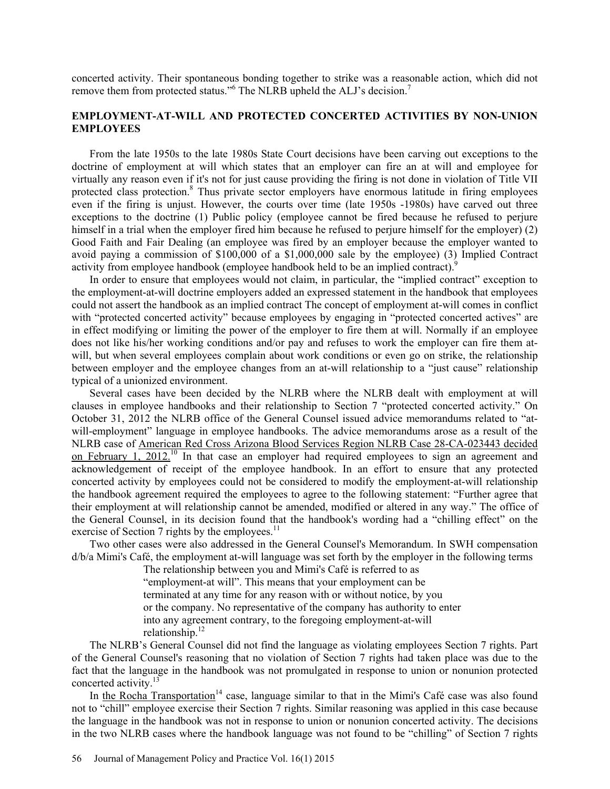concerted activity. Their spontaneous bonding together to strike was a reasonable action, which did not remove them from protected status."<sup>6</sup> The NLRB upheld the ALJ's decision.<sup>7</sup>

### **EMPLOYMENT-AT-WILL AND PROTECTED CONCERTED ACTIVITIES BY NON-UNION EMPLOYEES**

From the late 1950s to the late 1980s State Court decisions have been carving out exceptions to the doctrine of employment at will which states that an employer can fire an at will and employee for virtually any reason even if it's not for just cause providing the firing is not done in violation of Title VII protected class protection.<sup>8</sup> Thus private sector employers have enormous latitude in firing employees even if the firing is unjust. However, the courts over time (late 1950s -1980s) have carved out three exceptions to the doctrine (1) Public policy (employee cannot be fired because he refused to perjure himself in a trial when the employer fired him because he refused to perjure himself for the employer) (2) Good Faith and Fair Dealing (an employee was fired by an employer because the employer wanted to avoid paying a commission of \$100,000 of a \$1,000,000 sale by the employee) (3) Implied Contract activity from employee handbook (employee handbook held to be an implied contract).<sup>9</sup>

In order to ensure that employees would not claim, in particular, the "implied contract" exception to the employment-at-will doctrine employers added an expressed statement in the handbook that employees could not assert the handbook as an implied contract The concept of employment at-will comes in conflict with "protected concerted activity" because employees by engaging in "protected concerted actives" are in effect modifying or limiting the power of the employer to fire them at will. Normally if an employee does not like his/her working conditions and/or pay and refuses to work the employer can fire them atwill, but when several employees complain about work conditions or even go on strike, the relationship between employer and the employee changes from an at-will relationship to a "just cause" relationship typical of a unionized environment.

Several cases have been decided by the NLRB where the NLRB dealt with employment at will clauses in employee handbooks and their relationship to Section 7 "protected concerted activity." On October 31, 2012 the NLRB office of the General Counsel issued advice memorandums related to "atwill-employment" language in employee handbooks. The advice memorandums arose as a result of the NLRB case of American Red Cross Arizona Blood Services Region NLRB Case 28-CA-023443 decided on February 1, 2012.<sup>10</sup> In that case an employer had required employees to sign an agreement and acknowledgement of receipt of the employee handbook. In an effort to ensure that any protected concerted activity by employees could not be considered to modify the employment-at-will relationship the handbook agreement required the employees to agree to the following statement: "Further agree that their employment at will relationship cannot be amended, modified or altered in any way." The office of the General Counsel, in its decision found that the handbook's wording had a "chilling effect" on the exercise of Section 7 rights by the employees. $11$ 

Two other cases were also addressed in the General Counsel's Memorandum. In SWH compensation d/b/a Mimi's Café, the employment at-will language was set forth by the employer in the following terms

The relationship between you and Mimi's Café is referred to as

"employment-at will". This means that your employment can be

terminated at any time for any reason with or without notice, by you

or the company. No representative of the company has authority to enter

into any agreement contrary, to the foregoing employment-at-will

relationship.<sup>12</sup>

The NLRB's General Counsel did not find the language as violating employees Section 7 rights. Part of the General Counsel's reasoning that no violation of Section 7 rights had taken place was due to the fact that the language in the handbook was not promulgated in response to union or nonunion protected concerted activity.13

In the Rocha Transportation<sup>14</sup> case, language similar to that in the Mimi's Café case was also found not to "chill" employee exercise their Section 7 rights. Similar reasoning was applied in this case because the language in the handbook was not in response to union or nonunion concerted activity. The decisions in the two NLRB cases where the handbook language was not found to be "chilling" of Section 7 rights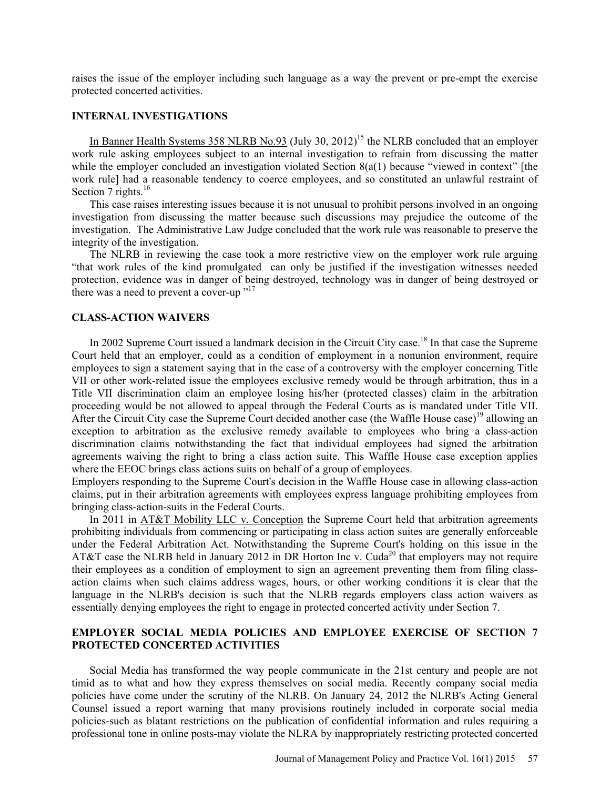raises the issue of the employer including such language as a way the prevent or pre-empt the exercise protected concerted activities.

#### **INTERNAL INVESTIGATIONS**

In Banner Health Systems  $358$  NLRB No.93 (July 30, 2012)<sup>15</sup> the NLRB concluded that an employer work rule asking employees subject to an internal investigation to refrain from discussing the matter while the employer concluded an investigation violated Section  $8(a(1)$  because "viewed in context" [the work rule] had a reasonable tendency to coerce employees, and so constituted an unlawful restraint of Section 7 rights. $16$ 

This case raises interesting issues because it is not unusual to prohibit persons involved in an ongoing investigation from discussing the matter because such discussions may prejudice the outcome of the investigation. The Administrative Law Judge concluded that the work rule was reasonable to preserve the integrity of the investigation.

The NLRB in reviewing the case took a more restrictive view on the employer work rule arguing "that work rules of the kind promulgated can only be justified if the investigation witnesses needed protection, evidence was in danger of being destroyed, technology was in danger of being destroyed or there was a need to prevent a cover-up  $v<sup>17</sup>$ 

#### **CLASS-ACTION WAIVERS**

In 2002 Supreme Court issued a landmark decision in the Circuit City case.<sup>18</sup> In that case the Supreme Court held that an employer, could as a condition of employment in a nonunion environment, require employees to sign a statement saying that in the case of a controversy with the employer concerning Title VII or other work-related issue the employees exclusive remedy would be through arbitration, thus in a Title VII discrimination claim an employee losing his/her (protected classes) claim in the arbitration proceeding would be not allowed to appeal through the Federal Courts as is mandated under Title VII. After the Circuit City case the Supreme Court decided another case (the Waffle House case)<sup>19</sup> allowing an exception to arbitration as the exclusive remedy available to employees who bring a class-action discrimination claims notwithstanding the fact that individual employees had signed the arbitration agreements waiving the right to bring a class action suite. This Waffle House case exception applies where the EEOC brings class actions suits on behalf of a group of employees.

Employers responding to the Supreme Court's decision in the Waffle House case in allowing class-action claims, put in their arbitration agreements with employees express language prohibiting employees from bringing class-action-suits in the Federal Courts.

In 2011 in AT&T Mobility LLC v. Conception the Supreme Court held that arbitration agreements prohibiting individuals from commencing or participating in class action suites are generally enforceable under the Federal Arbitration Act. Notwithstanding the Supreme Court's holding on this issue in the AT&T case the NLRB held in January 2012 in DR Horton Inc v. Cuda<sup>20</sup> that employers may not require their employees as a condition of employment to sign an agreement preventing them from filing classaction claims when such claims address wages, hours, or other working conditions it is clear that the language in the NLRB's decision is such that the NLRB regards employers class action waivers as essentially denying employees the right to engage in protected concerted activity under Section 7.

### **EMPLOYER SOCIAL MEDIA POLICIES AND EMPLOYEE EXERCISE OF SECTION 7 PROTECTED CONCERTED ACTIVITIES**

Social Media has transformed the way people communicate in the 21st century and people are not timid as to what and how they express themselves on social media. Recently company social media policies have come under the scrutiny of the NLRB. On January 24, 2012 the NLRB's Acting General Counsel issued a report warning that many provisions routinely included in corporate social media policies-such as blatant restrictions on the publication of confidential information and rules requiring a professional tone in online posts-may violate the NLRA by inappropriately restricting protected concerted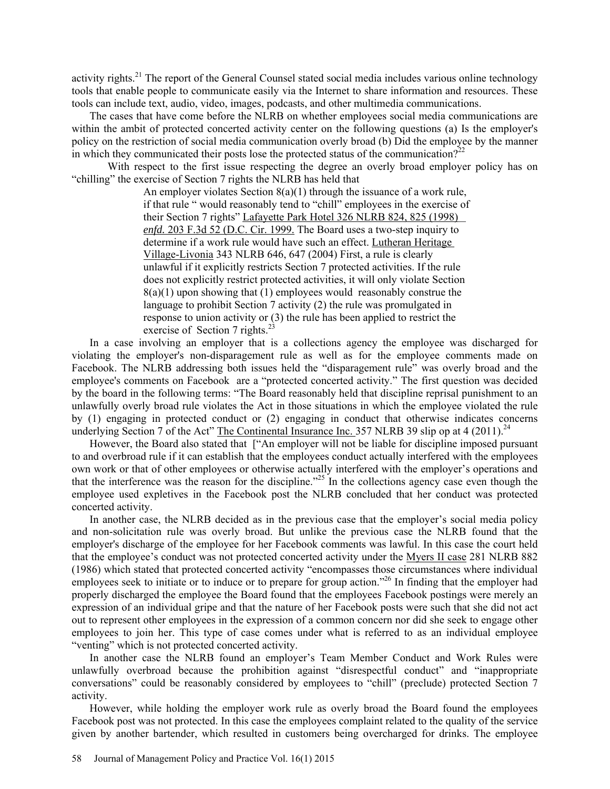activity rights.<sup>21</sup> The report of the General Counsel stated social media includes various online technology tools that enable people to communicate easily via the Internet to share information and resources. These tools can include text, audio, video, images, podcasts, and other multimedia communications.

The cases that have come before the NLRB on whether employees social media communications are within the ambit of protected concerted activity center on the following questions (a) Is the employer's policy on the restriction of social media communication overly broad (b) Did the employee by the manner in which they communicated their posts lose the protected status of the communication?<sup>22</sup>

 With respect to the first issue respecting the degree an overly broad employer policy has on "chilling" the exercise of Section 7 rights the NLRB has held that

> An employer violates Section  $8(a)(1)$  through the issuance of a work rule, if that rule " would reasonably tend to "chill" employees in the exercise of their Section 7 rights" Lafayette Park Hotel 326 NLRB 824, 825 (1998) *enfd.* 203 F.3d 52 (D.C. Cir. 1999. The Board uses a two-step inquiry to determine if a work rule would have such an effect. Lutheran Heritage Village-Livonia 343 NLRB 646, 647 (2004) First, a rule is clearly unlawful if it explicitly restricts Section 7 protected activities. If the rule does not explicitly restrict protected activities, it will only violate Section  $8(a)(1)$  upon showing that (1) employees would reasonably construe the language to prohibit Section 7 activity (2) the rule was promulgated in response to union activity or (3) the rule has been applied to restrict the exercise of Section 7 rights.<sup>23</sup>

In a case involving an employer that is a collections agency the employee was discharged for violating the employer's non-disparagement rule as well as for the employee comments made on Facebook. The NLRB addressing both issues held the "disparagement rule" was overly broad and the employee's comments on Facebook are a "protected concerted activity." The first question was decided by the board in the following terms: "The Board reasonably held that discipline reprisal punishment to an unlawfully overly broad rule violates the Act in those situations in which the employee violated the rule by (1) engaging in protected conduct or (2) engaging in conduct that otherwise indicates concerns underlying Section 7 of the Act" The Continental Insurance Inc. 357 NLRB 39 slip op at 4 (2011).<sup>24</sup>

However, the Board also stated that ["An employer will not be liable for discipline imposed pursuant to and overbroad rule if it can establish that the employees conduct actually interfered with the employees own work or that of other employees or otherwise actually interfered with the employer's operations and that the interference was the reason for the discipline."25 In the collections agency case even though the employee used expletives in the Facebook post the NLRB concluded that her conduct was protected concerted activity.

In another case, the NLRB decided as in the previous case that the employer's social media policy and non-solicitation rule was overly broad. But unlike the previous case the NLRB found that the employer's discharge of the employee for her Facebook comments was lawful. In this case the court held that the employee's conduct was not protected concerted activity under the Myers II case 281 NLRB 882 (1986) which stated that protected concerted activity "encompasses those circumstances where individual employees seek to initiate or to induce or to prepare for group action."<sup>26</sup> In finding that the employer had properly discharged the employee the Board found that the employees Facebook postings were merely an expression of an individual gripe and that the nature of her Facebook posts were such that she did not act out to represent other employees in the expression of a common concern nor did she seek to engage other employees to join her. This type of case comes under what is referred to as an individual employee "venting" which is not protected concerted activity.

In another case the NLRB found an employer's Team Member Conduct and Work Rules were unlawfully overbroad because the prohibition against "disrespectful conduct" and "inappropriate conversations" could be reasonably considered by employees to "chill" (preclude) protected Section 7 activity.

However, while holding the employer work rule as overly broad the Board found the employees Facebook post was not protected. In this case the employees complaint related to the quality of the service given by another bartender, which resulted in customers being overcharged for drinks. The employee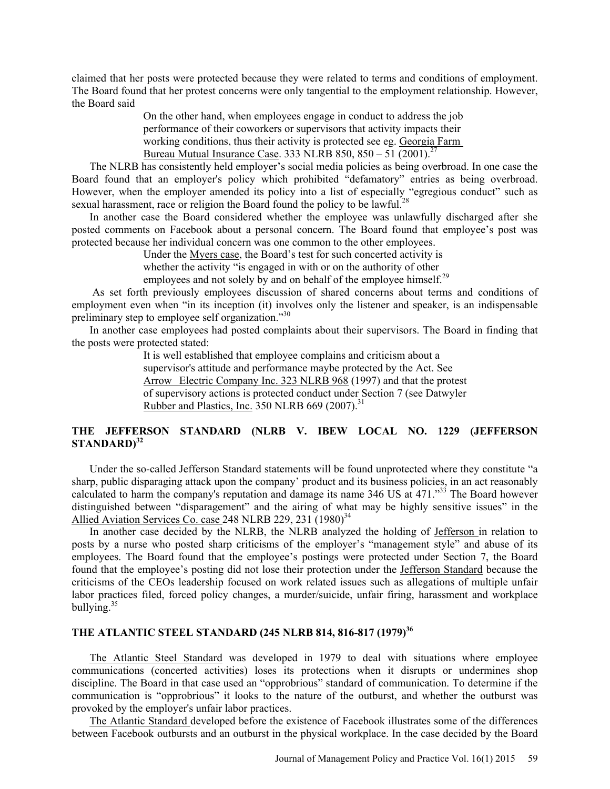claimed that her posts were protected because they were related to terms and conditions of employment. The Board found that her protest concerns were only tangential to the employment relationship. However, the Board said

> On the other hand, when employees engage in conduct to address the job performance of their coworkers or supervisors that activity impacts their working conditions, thus their activity is protected see eg. Georgia Farm Bureau Mutual Insurance Case. 333 NLRB 850, 850 – 51 (2001).<sup>27</sup>

The NLRB has consistently held employer's social media policies as being overbroad. In one case the Board found that an employer's policy which prohibited "defamatory" entries as being overbroad. However, when the employer amended its policy into a list of especially "egregious conduct" such as sexual harassment, race or religion the Board found the policy to be lawful.<sup>28</sup>

In another case the Board considered whether the employee was unlawfully discharged after she posted comments on Facebook about a personal concern. The Board found that employee's post was protected because her individual concern was one common to the other employees.

Under the Myers case, the Board's test for such concerted activity is

whether the activity "is engaged in with or on the authority of other

employees and not solely by and on behalf of the employee himself.<sup>29</sup>

 As set forth previously employees discussion of shared concerns about terms and conditions of employment even when "in its inception (it) involves only the listener and speaker, is an indispensable preliminary step to employee self organization."30

In another case employees had posted complaints about their supervisors. The Board in finding that the posts were protected stated:

> It is well established that employee complains and criticism about a supervisor's attitude and performance maybe protected by the Act. See Arrow Electric Company Inc. 323 NLRB 968 (1997) and that the protest of supervisory actions is protected conduct under Section 7 (see Datwyler Rubber and Plastics, Inc. 350 NLRB 669  $(2007)^{31}$

## **THE JEFFERSON STANDARD (NLRB V. IBEW LOCAL NO. 1229 (JEFFERSON STANDARD)<sup>32</sup>**

Under the so-called Jefferson Standard statements will be found unprotected where they constitute "a sharp, public disparaging attack upon the company' product and its business policies, in an act reasonably calculated to harm the company's reputation and damage its name 346 US at  $471$ ."<sup>33</sup> The Board however distinguished between "disparagement" and the airing of what may be highly sensitive issues" in the Allied Aviation Services Co. case 248 NLRB 229, 231  $(1980)^{34}$ 

In another case decided by the NLRB, the NLRB analyzed the holding of Jefferson in relation to posts by a nurse who posted sharp criticisms of the employer's "management style" and abuse of its employees. The Board found that the employee's postings were protected under Section 7, the Board found that the employee's posting did not lose their protection under the Jefferson Standard because the criticisms of the CEOs leadership focused on work related issues such as allegations of multiple unfair labor practices filed, forced policy changes, a murder/suicide, unfair firing, harassment and workplace bullying. $35$ 

# THE ATLANTIC STEEL STANDARD (245 NLRB 814, 816-817 (1979)<sup>36</sup>

The Atlantic Steel Standard was developed in 1979 to deal with situations where employee communications (concerted activities) loses its protections when it disrupts or undermines shop discipline. The Board in that case used an "opprobrious" standard of communication. To determine if the communication is "opprobrious" it looks to the nature of the outburst, and whether the outburst was provoked by the employer's unfair labor practices.

The Atlantic Standard developed before the existence of Facebook illustrates some of the differences between Facebook outbursts and an outburst in the physical workplace. In the case decided by the Board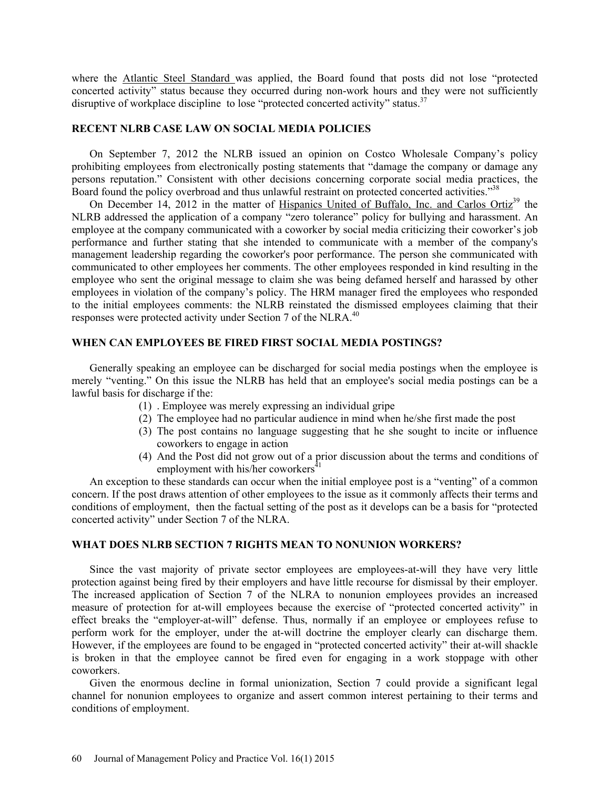where the Atlantic Steel Standard was applied, the Board found that posts did not lose "protected concerted activity" status because they occurred during non-work hours and they were not sufficiently disruptive of workplace discipline to lose "protected concerted activity" status.<sup>37</sup>

#### **RECENT NLRB CASE LAW ON SOCIAL MEDIA POLICIES**

On September 7, 2012 the NLRB issued an opinion on Costco Wholesale Company's policy prohibiting employees from electronically posting statements that "damage the company or damage any persons reputation." Consistent with other decisions concerning corporate social media practices, the Board found the policy overbroad and thus unlawful restraint on protected concerted activities."<sup>38</sup>

On December 14, 2012 in the matter of Hispanics United of Buffalo, Inc. and Carlos Ortiz<sup>39</sup> the NLRB addressed the application of a company "zero tolerance" policy for bullying and harassment. An employee at the company communicated with a coworker by social media criticizing their coworker's job performance and further stating that she intended to communicate with a member of the company's management leadership regarding the coworker's poor performance. The person she communicated with communicated to other employees her comments. The other employees responded in kind resulting in the employee who sent the original message to claim she was being defamed herself and harassed by other employees in violation of the company's policy. The HRM manager fired the employees who responded to the initial employees comments: the NLRB reinstated the dismissed employees claiming that their responses were protected activity under Section 7 of the NLRA.<sup>40</sup>

#### **WHEN CAN EMPLOYEES BE FIRED FIRST SOCIAL MEDIA POSTINGS?**

Generally speaking an employee can be discharged for social media postings when the employee is merely "venting." On this issue the NLRB has held that an employee's social media postings can be a lawful basis for discharge if the:

- (1) . Employee was merely expressing an individual gripe
- (2) The employee had no particular audience in mind when he/she first made the post
- (3) The post contains no language suggesting that he she sought to incite or influence coworkers to engage in action
- (4) And the Post did not grow out of a prior discussion about the terms and conditions of employment with his/her coworkers $^{41}$

An exception to these standards can occur when the initial employee post is a "venting" of a common concern. If the post draws attention of other employees to the issue as it commonly affects their terms and conditions of employment, then the factual setting of the post as it develops can be a basis for "protected concerted activity" under Section 7 of the NLRA.

#### **WHAT DOES NLRB SECTION 7 RIGHTS MEAN TO NONUNION WORKERS?**

Since the vast majority of private sector employees are employees-at-will they have very little protection against being fired by their employers and have little recourse for dismissal by their employer. The increased application of Section 7 of the NLRA to nonunion employees provides an increased measure of protection for at-will employees because the exercise of "protected concerted activity" in effect breaks the "employer-at-will" defense. Thus, normally if an employee or employees refuse to perform work for the employer, under the at-will doctrine the employer clearly can discharge them. However, if the employees are found to be engaged in "protected concerted activity" their at-will shackle is broken in that the employee cannot be fired even for engaging in a work stoppage with other coworkers.

Given the enormous decline in formal unionization, Section 7 could provide a significant legal channel for nonunion employees to organize and assert common interest pertaining to their terms and conditions of employment.